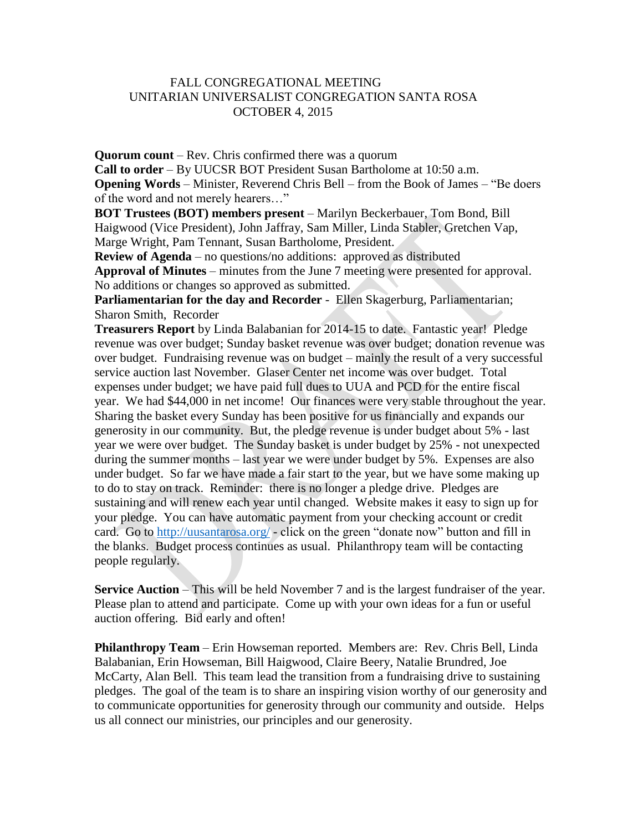## FALL CONGREGATIONAL MEETING UNITARIAN UNIVERSALIST CONGREGATION SANTA ROSA OCTOBER 4, 2015

**Quorum count** – Rev. Chris confirmed there was a quorum **Call to order** – By UUCSR BOT President Susan Bartholome at 10:50 a.m. **Opening Words** – Minister, Reverend Chris Bell – from the Book of James – "Be doers of the word and not merely hearers…"

**BOT Trustees (BOT) members present** – Marilyn Beckerbauer, Tom Bond, Bill Haigwood (Vice President), John Jaffray, Sam Miller, Linda Stabler, Gretchen Vap, Marge Wright, Pam Tennant, Susan Bartholome, President.

**Review of Agenda** – no questions/no additions: approved as distributed **Approval of Minutes** – minutes from the June 7 meeting were presented for approval. No additions or changes so approved as submitted.

**Parliamentarian for the day and Recorder** - Ellen Skagerburg, Parliamentarian; Sharon Smith, Recorder

**Treasurers Report** by Linda Balabanian for 2014-15 to date. Fantastic year! Pledge revenue was over budget; Sunday basket revenue was over budget; donation revenue was over budget. Fundraising revenue was on budget – mainly the result of a very successful service auction last November. Glaser Center net income was over budget. Total expenses under budget; we have paid full dues to UUA and PCD for the entire fiscal year. We had \$44,000 in net income! Our finances were very stable throughout the year. Sharing the basket every Sunday has been positive for us financially and expands our generosity in our community. But, the pledge revenue is under budget about 5% - last year we were over budget. The Sunday basket is under budget by 25% - not unexpected during the summer months – last year we were under budget by 5%. Expenses are also under budget. So far we have made a fair start to the year, but we have some making up to do to stay on track. Reminder: there is no longer a pledge drive. Pledges are sustaining and will renew each year until changed. Website makes it easy to sign up for your pledge. You can have automatic payment from your checking account or credit card. Go to<http://uusantarosa.org/> - click on the green "donate now" button and fill in the blanks. Budget process continues as usual. Philanthropy team will be contacting people regularly.

**Service Auction** – This will be held November 7 and is the largest fundraiser of the year. Please plan to attend and participate. Come up with your own ideas for a fun or useful auction offering. Bid early and often!

**Philanthropy Team** – Erin Howseman reported. Members are: Rev. Chris Bell, Linda Balabanian, Erin Howseman, Bill Haigwood, Claire Beery, Natalie Brundred, Joe McCarty, Alan Bell. This team lead the transition from a fundraising drive to sustaining pledges. The goal of the team is to share an inspiring vision worthy of our generosity and to communicate opportunities for generosity through our community and outside. Helps us all connect our ministries, our principles and our generosity.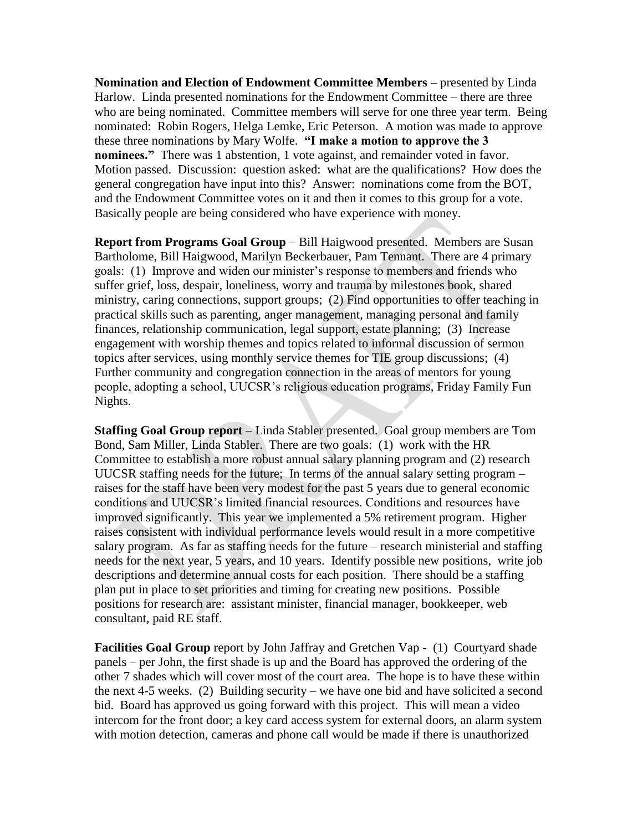**Nomination and Election of Endowment Committee Members** – presented by Linda Harlow. Linda presented nominations for the Endowment Committee – there are three who are being nominated. Committee members will serve for one three year term. Being nominated: Robin Rogers, Helga Lemke, Eric Peterson. A motion was made to approve these three nominations by Mary Wolfe. **"I make a motion to approve the 3 nominees."** There was 1 abstention, 1 vote against, and remainder voted in favor. Motion passed. Discussion: question asked: what are the qualifications? How does the general congregation have input into this? Answer: nominations come from the BOT, and the Endowment Committee votes on it and then it comes to this group for a vote. Basically people are being considered who have experience with money.

**Report from Programs Goal Group** – Bill Haigwood presented. Members are Susan Bartholome, Bill Haigwood, Marilyn Beckerbauer, Pam Tennant. There are 4 primary goals: (1) Improve and widen our minister's response to members and friends who suffer grief, loss, despair, loneliness, worry and trauma by milestones book, shared ministry, caring connections, support groups; (2) Find opportunities to offer teaching in practical skills such as parenting, anger management, managing personal and family finances, relationship communication, legal support, estate planning; (3) Increase engagement with worship themes and topics related to informal discussion of sermon topics after services, using monthly service themes for TIE group discussions; (4) Further community and congregation connection in the areas of mentors for young people, adopting a school, UUCSR's religious education programs, Friday Family Fun Nights.

**Staffing Goal Group report** – Linda Stabler presented. Goal group members are Tom Bond, Sam Miller, Linda Stabler. There are two goals: (1) work with the HR Committee to establish a more robust annual salary planning program and (2) research UUCSR staffing needs for the future; In terms of the annual salary setting program – raises for the staff have been very modest for the past 5 years due to general economic conditions and UUCSR's limited financial resources. Conditions and resources have improved significantly. This year we implemented a 5% retirement program. Higher raises consistent with individual performance levels would result in a more competitive salary program. As far as staffing needs for the future – research ministerial and staffing needs for the next year, 5 years, and 10 years. Identify possible new positions, write job descriptions and determine annual costs for each position. There should be a staffing plan put in place to set priorities and timing for creating new positions. Possible positions for research are: assistant minister, financial manager, bookkeeper, web consultant, paid RE staff.

**Facilities Goal Group** report by John Jaffray and Gretchen Vap - (1) Courtyard shade panels – per John, the first shade is up and the Board has approved the ordering of the other 7 shades which will cover most of the court area. The hope is to have these within the next 4-5 weeks. (2) Building security – we have one bid and have solicited a second bid. Board has approved us going forward with this project. This will mean a video intercom for the front door; a key card access system for external doors, an alarm system with motion detection, cameras and phone call would be made if there is unauthorized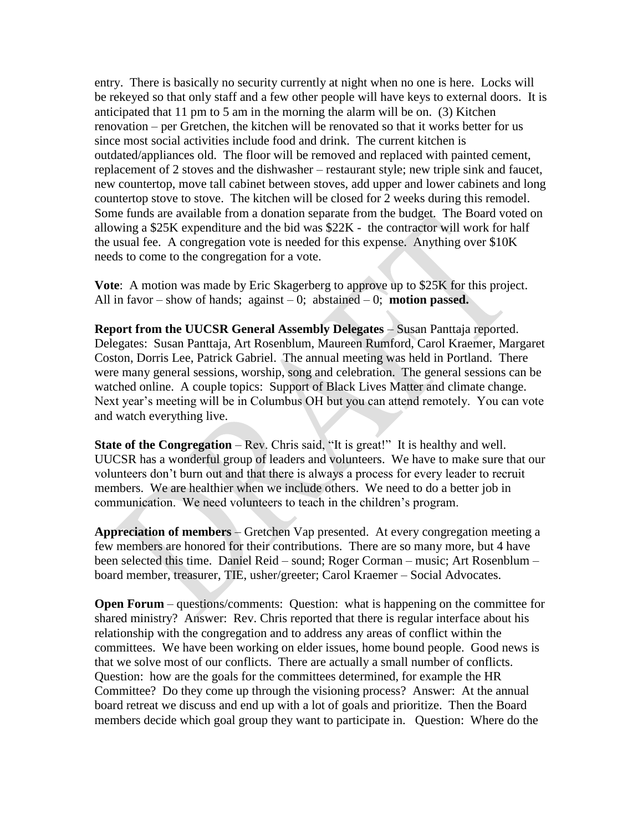entry. There is basically no security currently at night when no one is here. Locks will be rekeyed so that only staff and a few other people will have keys to external doors. It is anticipated that 11 pm to 5 am in the morning the alarm will be on. (3) Kitchen renovation – per Gretchen, the kitchen will be renovated so that it works better for us since most social activities include food and drink. The current kitchen is outdated/appliances old. The floor will be removed and replaced with painted cement, replacement of 2 stoves and the dishwasher – restaurant style; new triple sink and faucet, new countertop, move tall cabinet between stoves, add upper and lower cabinets and long countertop stove to stove. The kitchen will be closed for 2 weeks during this remodel. Some funds are available from a donation separate from the budget. The Board voted on allowing a \$25K expenditure and the bid was \$22K - the contractor will work for half the usual fee. A congregation vote is needed for this expense. Anything over \$10K needs to come to the congregation for a vote.

**Vote**: A motion was made by Eric Skagerberg to approve up to \$25K for this project. All in favor – show of hands; against – 0; abstained – 0; **motion passed.**

**Report from the UUCSR General Assembly Delegates** – Susan Panttaja reported. Delegates: Susan Panttaja, Art Rosenblum, Maureen Rumford, Carol Kraemer, Margaret Coston, Dorris Lee, Patrick Gabriel. The annual meeting was held in Portland. There were many general sessions, worship, song and celebration. The general sessions can be watched online. A couple topics: Support of Black Lives Matter and climate change. Next year's meeting will be in Columbus OH but you can attend remotely. You can vote and watch everything live.

**State of the Congregation** – Rev. Chris said, "It is great!" It is healthy and well. UUCSR has a wonderful group of leaders and volunteers. We have to make sure that our volunteers don't burn out and that there is always a process for every leader to recruit members. We are healthier when we include others. We need to do a better job in communication. We need volunteers to teach in the children's program.

**Appreciation of members** – Gretchen Vap presented. At every congregation meeting a few members are honored for their contributions. There are so many more, but 4 have been selected this time. Daniel Reid – sound; Roger Corman – music; Art Rosenblum – board member, treasurer, TIE, usher/greeter; Carol Kraemer – Social Advocates.

**Open Forum** – questions/comments: Question: what is happening on the committee for shared ministry? Answer: Rev. Chris reported that there is regular interface about his relationship with the congregation and to address any areas of conflict within the committees. We have been working on elder issues, home bound people. Good news is that we solve most of our conflicts. There are actually a small number of conflicts. Question: how are the goals for the committees determined, for example the HR Committee? Do they come up through the visioning process? Answer: At the annual board retreat we discuss and end up with a lot of goals and prioritize. Then the Board members decide which goal group they want to participate in. Question: Where do the